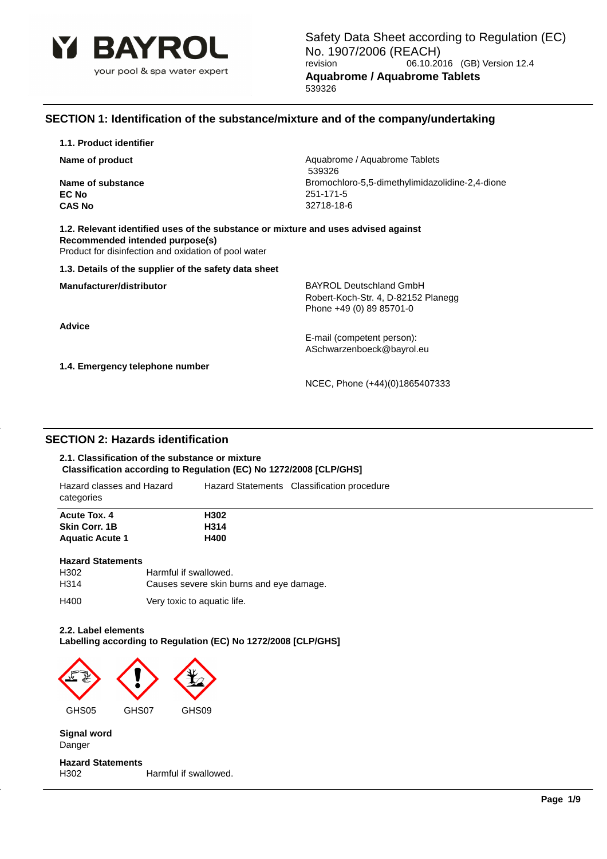

# **SECTION 1: Identification of the substance/mixture and of the company/undertaking**

**1.1. Product identifier**

**EC No** 251-171-5 **CAS No** 32718-18-6

**Name of product** Aquabrome / Aquabrome / Aquabrome Tablets 539326 **Name of substance Bromochloro-5,5-dimethylimidazolidine-2,4-dione Bromochloro-5,5-dimethylimidazolidine-2,4-dione** 

**1.2. Relevant identified uses of the substance or mixture and uses advised against Recommended intended purpose(s)** Product for disinfection and oxidation of pool water

**1.3. Details of the supplier of the safety data sheet**

**Advice**

**Manufacturer/distributor BAYROL Deutschland GmbH** Robert-Koch-Str. 4, D-82152 Planegg Phone +49 (0) 89 85701-0

> E-mail (competent person): ASchwarzenboeck@bayrol.eu

**1.4. Emergency telephone number**

NCEC, Phone (+44)(0)1865407333

# **SECTION 2: Hazards identification**

### **2.1. Classification of the substance or mixture Classification according to Regulation (EC) No 1272/2008 [CLP/GHS]**

| Hazard classes and Hazard<br>categories | Hazard Statements Classification procedure |
|-----------------------------------------|--------------------------------------------|
| <b>Acute Tox. 4</b>                     | H302                                       |
| <b>Skin Corr. 1B</b>                    | H314                                       |
| <b>Aquatic Acute 1</b>                  | H400                                       |
| <b>Linzard Cintemponts</b>              |                                            |

| <b>Hazard Statements</b> |                                          |
|--------------------------|------------------------------------------|
| H302                     | Harmful if swallowed.                    |
| H <sub>3</sub> 14        | Causes severe skin burns and eye damage. |

H400 Very toxic to aquatic life.

### **2.2. Label elements**

**Labelling according to Regulation (EC) No 1272/2008 [CLP/GHS]**



**Signal word** Danger

**Hazard Statements** H302 Harmful if swallowed.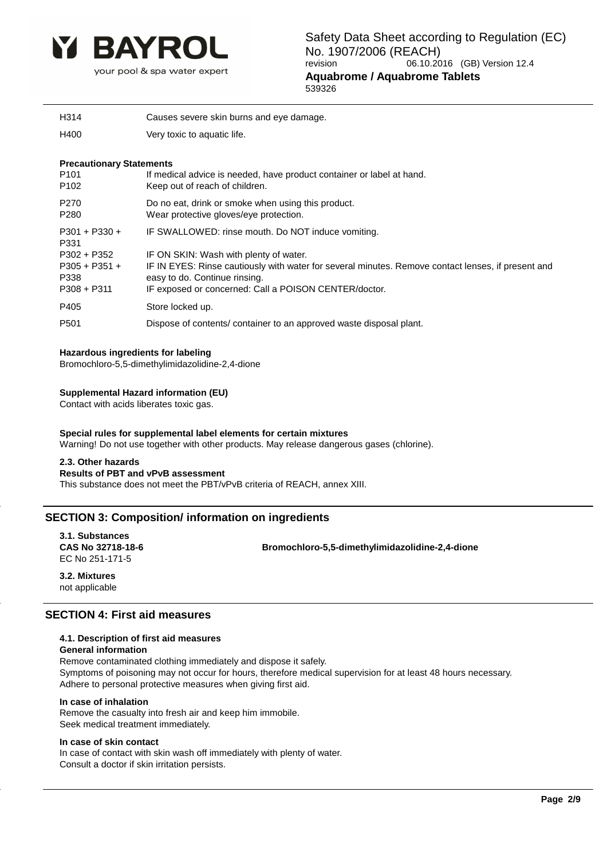

| H314 | Causes severe skin burns and eye damage. |
|------|------------------------------------------|
|      |                                          |
|      |                                          |

H400 Very toxic to aquatic life.

### **Precautionary Statements**

| P <sub>101</sub><br>P <sub>102</sub>                      | If medical advice is needed, have product container or label at hand.<br>Keep out of reach of children.                                                                                                                                |
|-----------------------------------------------------------|----------------------------------------------------------------------------------------------------------------------------------------------------------------------------------------------------------------------------------------|
| P <sub>270</sub><br>P <sub>280</sub>                      | Do no eat, drink or smoke when using this product.<br>Wear protective gloves/eye protection.                                                                                                                                           |
| $P301 + P330 +$<br>P331                                   | IF SWALLOWED: rinse mouth. Do NOT induce vomiting.                                                                                                                                                                                     |
| $P302 + P352$<br>$P305 + P351 +$<br>P338<br>$P308 + P311$ | IF ON SKIN: Wash with plenty of water.<br>IF IN EYES: Rinse cautiously with water for several minutes. Remove contact lenses, if present and<br>easy to do. Continue rinsing.<br>IF exposed or concerned: Call a POISON CENTER/doctor. |
| P405                                                      | Store locked up.                                                                                                                                                                                                                       |
| P <sub>501</sub>                                          | Dispose of contents/ container to an approved waste disposal plant.                                                                                                                                                                    |
|                                                           |                                                                                                                                                                                                                                        |

### **Hazardous ingredients for labeling**

Bromochloro-5,5-dimethylimidazolidine-2,4-dione

### **Supplemental Hazard information (EU)**

Contact with acids liberates toxic gas.

#### **Special rules for supplemental label elements for certain mixtures** Warning! Do not use together with other products. May release dangerous gases (chlorine).

### **2.3. Other hazards**

### **Results of PBT and vPvB assessment**

This substance does not meet the PBT/vPvB criteria of REACH, annex XIII.

# **SECTION 3: Composition/ information on ingredients**

**3.1. Substances** EC No 251-171-5

**CAS No 32718-18-6 Bromochloro-5,5-dimethylimidazolidine-2,4-dione**

**3.2. Mixtures** not applicable

### **SECTION 4: First aid measures**

### **4.1. Description of first aid measures**

### **General information**

Remove contaminated clothing immediately and dispose it safely. Symptoms of poisoning may not occur for hours, therefore medical supervision for at least 48 hours necessary. Adhere to personal protective measures when giving first aid.

### **In case of inhalation**

Remove the casualty into fresh air and keep him immobile. Seek medical treatment immediately.

### **In case of skin contact**

In case of contact with skin wash off immediately with plenty of water. Consult a doctor if skin irritation persists.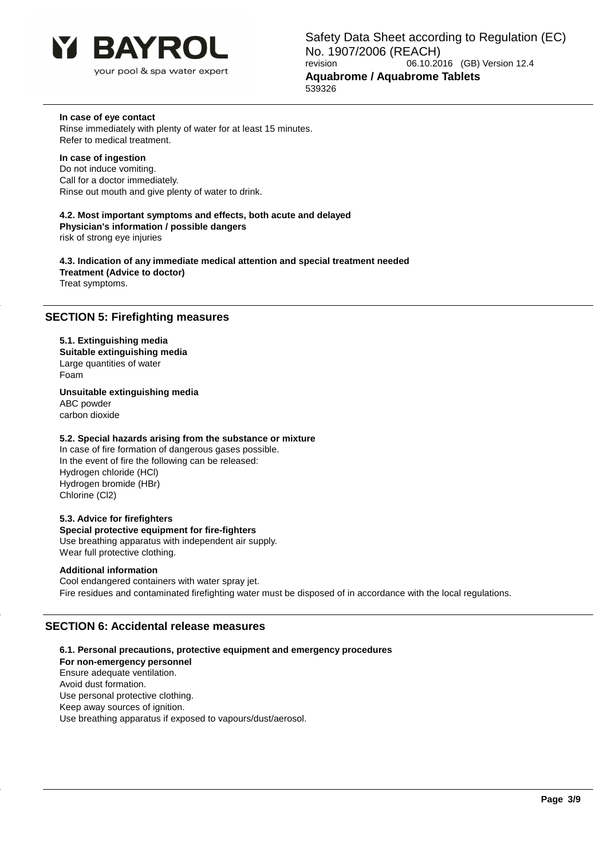

### **In case of eye contact**

Rinse immediately with plenty of water for at least 15 minutes. Refer to medical treatment.

### **In case of ingestion**

Do not induce vomiting. Call for a doctor immediately. Rinse out mouth and give plenty of water to drink.

**4.2. Most important symptoms and effects, both acute and delayed Physician's information / possible dangers**

risk of strong eye injuries

**4.3. Indication of any immediate medical attention and special treatment needed Treatment (Advice to doctor)** Treat symptoms.

### **SECTION 5: Firefighting measures**

### **5.1. Extinguishing media**

**Suitable extinguishing media** Large quantities of water Foam

**Unsuitable extinguishing media** ABC powder carbon dioxide

### **5.2. Special hazards arising from the substance or mixture**

In case of fire formation of dangerous gases possible. In the event of fire the following can be released: Hydrogen chloride (HCl) Hydrogen bromide (HBr) Chlorine (Cl2)

### **5.3. Advice for firefighters**

**Special protective equipment for fire-fighters**

Use breathing apparatus with independent air supply. Wear full protective clothing.

### **Additional information**

Cool endangered containers with water spray jet. Fire residues and contaminated firefighting water must be disposed of in accordance with the local regulations.

# **SECTION 6: Accidental release measures**

**6.1. Personal precautions, protective equipment and emergency procedures For non-emergency personnel** Ensure adequate ventilation. Avoid dust formation. Use personal protective clothing. Keep away sources of ignition. Use breathing apparatus if exposed to vapours/dust/aerosol.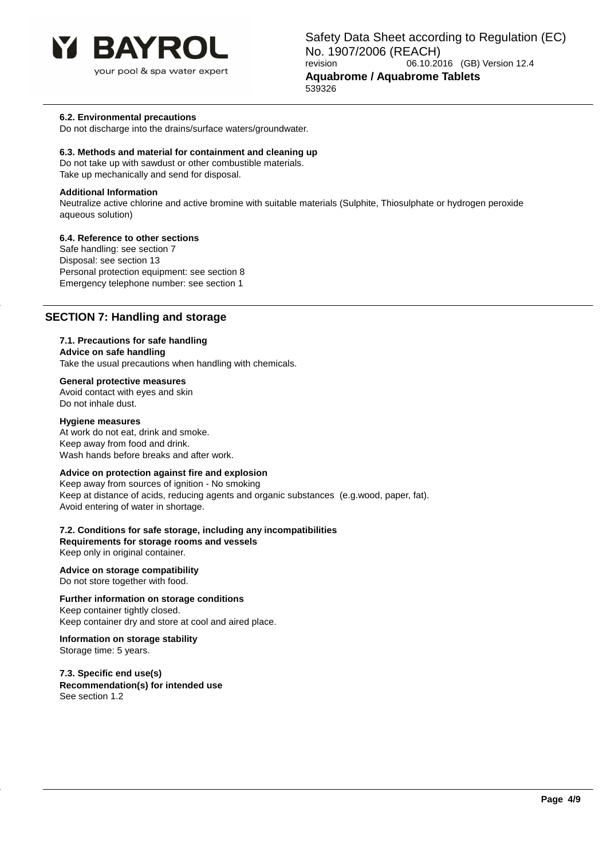

your pool & spa water expert

### **6.2. Environmental precautions**

Do not discharge into the drains/surface waters/groundwater.

### **6.3. Methods and material for containment and cleaning up**

Do not take up with sawdust or other combustible materials. Take up mechanically and send for disposal.

### **Additional Information**

Neutralize active chlorine and active bromine with suitable materials (Sulphite, Thiosulphate or hydrogen peroxide aqueous solution)

### **6.4. Reference to other sections**

Safe handling: see section 7 Disposal: see section 13 Personal protection equipment: see section 8 Emergency telephone number: see section 1

### **SECTION 7: Handling and storage**

### **7.1. Precautions for safe handling**

**Advice on safe handling**

Take the usual precautions when handling with chemicals.

### **General protective measures**

Avoid contact with eyes and skin Do not inhale dust.

### **Hygiene measures**

At work do not eat, drink and smoke. Keep away from food and drink. Wash hands before breaks and after work.

### **Advice on protection against fire and explosion**

Keep away from sources of ignition - No smoking Keep at distance of acids, reducing agents and organic substances (e.g.wood, paper, fat). Avoid entering of water in shortage.

**7.2. Conditions for safe storage, including any incompatibilities Requirements for storage rooms and vessels** Keep only in original container.

**Advice on storage compatibility** Do not store together with food.

### **Further information on storage conditions**

Keep container tightly closed. Keep container dry and store at cool and aired place.

**Information on storage stability** Storage time: 5 years.

**7.3. Specific end use(s) Recommendation(s) for intended use** See section 1.2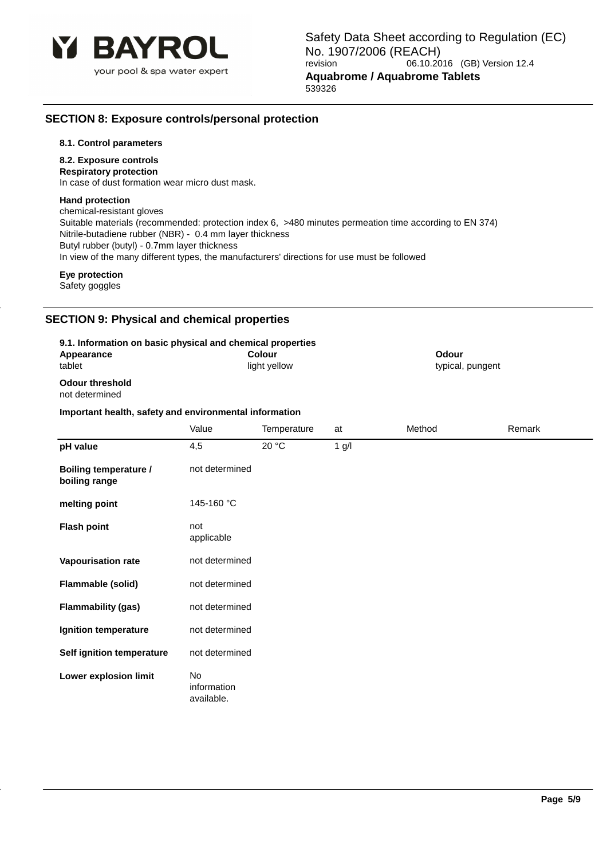

# **SECTION 8: Exposure controls/personal protection**

### **8.1. Control parameters**

### **8.2. Exposure controls**

**Respiratory protection** In case of dust formation wear micro dust mask.

### **Hand protection**

chemical-resistant gloves Suitable materials (recommended: protection index 6, >480 minutes permeation time according to EN 374) Nitrile-butadiene rubber (NBR) - 0.4 mm layer thickness Butyl rubber (butyl) - 0.7mm layer thickness In view of the many different types, the manufacturers' directions for use must be followed

# **Eye protection**

Safety goggles

# **SECTION 9: Physical and chemical properti**

| 9.1. Information on basic physical and chemical properties<br>Appearance<br>tablet |                                        | Colour<br>light yellow |         | Odour<br>typical, pungent |        |
|------------------------------------------------------------------------------------|----------------------------------------|------------------------|---------|---------------------------|--------|
| <b>Odour threshold</b><br>not determined                                           |                                        |                        |         |                           |        |
| Important health, safety and environmental information                             |                                        |                        |         |                           |        |
|                                                                                    | Value                                  | Temperature            | at      | Method                    | Remark |
| pH value                                                                           | 4,5                                    | 20 °C                  | $1$ g/l |                           |        |
| <b>Boiling temperature /</b><br>boiling range                                      | not determined                         |                        |         |                           |        |
| melting point                                                                      | 145-160 °C                             |                        |         |                           |        |
| <b>Flash point</b>                                                                 | not<br>applicable                      |                        |         |                           |        |
| Vapourisation rate                                                                 | not determined                         |                        |         |                           |        |
| Flammable (solid)                                                                  | not determined                         |                        |         |                           |        |
| <b>Flammability (gas)</b>                                                          | not determined                         |                        |         |                           |        |
| Ignition temperature                                                               | not determined                         |                        |         |                           |        |
| Self ignition temperature                                                          | not determined                         |                        |         |                           |        |
| Lower explosion limit                                                              | <b>No</b><br>information<br>available. |                        |         |                           |        |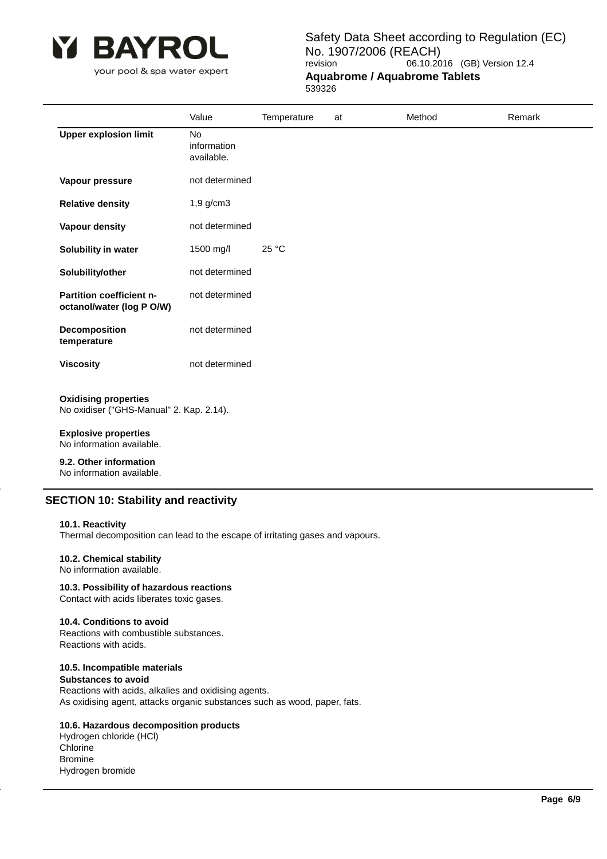

your pool & spa water expert

Safety Data Sheet according to Regulation (EC) No. 1907/2006 (REACH)<br>revision 06.10.20 06.10.2016 (GB) Version 12.4 **Aquabrome / Aquabrome Tablets**

539326

|                                                                         | Value                           | Temperature | at | Method | Remark |
|-------------------------------------------------------------------------|---------------------------------|-------------|----|--------|--------|
| <b>Upper explosion limit</b>                                            | No<br>information<br>available. |             |    |        |        |
| Vapour pressure                                                         | not determined                  |             |    |        |        |
| <b>Relative density</b>                                                 | $1,9$ g/cm $3$                  |             |    |        |        |
| Vapour density                                                          | not determined                  |             |    |        |        |
| Solubility in water                                                     | 1500 mg/l                       | 25 °C       |    |        |        |
| Solubility/other                                                        | not determined                  |             |    |        |        |
| Partition coefficient n-<br>octanol/water (log P O/W)                   | not determined                  |             |    |        |        |
| Decomposition<br>temperature                                            | not determined                  |             |    |        |        |
| <b>Viscosity</b>                                                        | not determined                  |             |    |        |        |
| <b>Oxidising properties</b><br>No oxidiser ("GHS-Manual" 2. Kap. 2.14). |                                 |             |    |        |        |
| <b>Explosive properties</b><br>No information available.                |                                 |             |    |        |        |
| .                                                                       |                                 |             |    |        |        |

**9.2. Other information** No information available.

# **SECTION 10: Stability and reactivity**

### **10.1. Reactivity**

Thermal decomposition can lead to the escape of irritating gases and vapours.

# **10.2. Chemical stability**

No information available.

**10.3. Possibility of hazardous reactions** Contact with acids liberates toxic gases.

# **10.4. Conditions to avoid**

Reactions with combustible substances. Reactions with acids.

# **10.5. Incompatible materials**

**Substances to avoid** Reactions with acids, alkalies and oxidising agents. As oxidising agent, attacks organic substances such as wood, paper, fats.

### **10.6. Hazardous decomposition products**

Hydrogen chloride (HCl) **Chlorine** Bromine Hydrogen bromide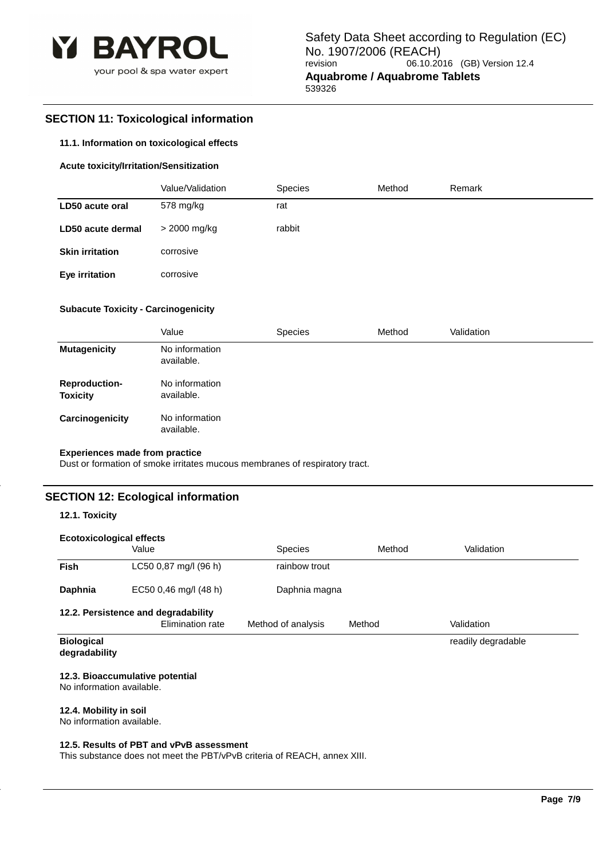

# **SECTION 11: Toxicological information**

### **11.1. Information on toxicological effects**

### **Acute toxicity/Irritation/Sensitization**

|                        | Value/Validation | <b>Species</b> | Method | Remark |
|------------------------|------------------|----------------|--------|--------|
| LD50 acute oral        | 578 mg/kg        | rat            |        |        |
| LD50 acute dermal      | > 2000 mg/kg     | rabbit         |        |        |
| <b>Skin irritation</b> | corrosive        |                |        |        |
| Eye irritation         | corrosive        |                |        |        |

### **Subacute Toxicity - Carcinogenicity**

|                                         | Value                        | <b>Species</b> | Method | Validation |
|-----------------------------------------|------------------------------|----------------|--------|------------|
| <b>Mutagenicity</b>                     | No information<br>available. |                |        |            |
| <b>Reproduction-</b><br><b>Toxicity</b> | No information<br>available. |                |        |            |
| Carcinogenicity                         | No information<br>available. |                |        |            |

### **Experiences made from practice**

Dust or formation of smoke irritates mucous membranes of respiratory tract.

# **SECTION 12: Ecological information**

### **12.1. Toxicity**

| <b>Ecotoxicological effects</b>    |                                                         |                    |        |                    |  |  |
|------------------------------------|---------------------------------------------------------|--------------------|--------|--------------------|--|--|
|                                    | Value                                                   | <b>Species</b>     | Method | Validation         |  |  |
| <b>Fish</b>                        | LC50 0,87 mg/l (96 h)                                   | rainbow trout      |        |                    |  |  |
| Daphnia                            | EC50 0,46 mg/l (48 h)                                   | Daphnia magna      |        |                    |  |  |
|                                    | 12.2. Persistence and degradability<br>Elimination rate | Method of analysis | Method | Validation         |  |  |
| <b>Biological</b><br>degradability |                                                         |                    |        | readily degradable |  |  |

### **12.3. Bioaccumulative potential**

No information available.

### **12.4. Mobility in soil**

No information available.

### **12.5. Results of PBT and vPvB assessment**

This substance does not meet the PBT/vPvB criteria of REACH, annex XIII.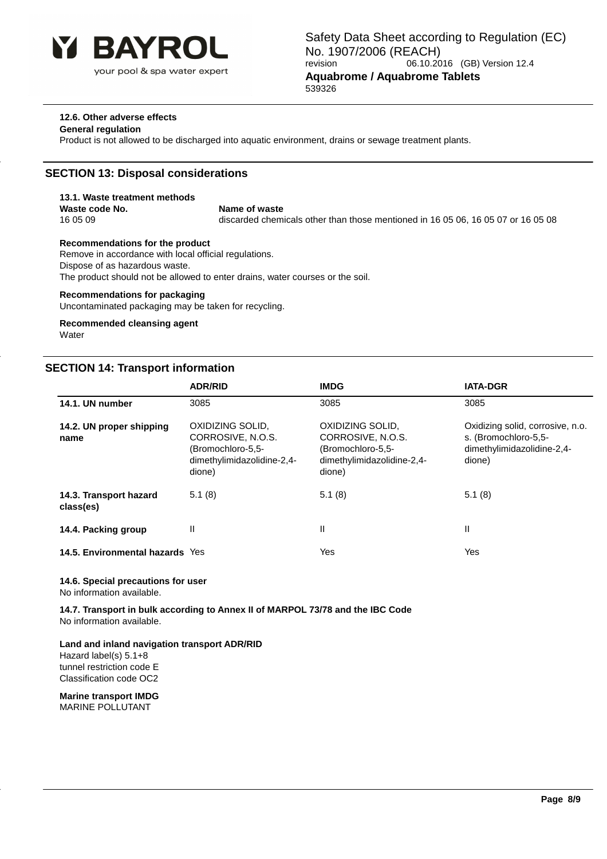

### **12.6. Other adverse effects**

### **General regulation**

Product is not allowed to be discharged into aquatic environment, drains or sewage treatment plants.

# **SECTION 13: Disposal considerations**

# **13.1. Waste treatment methods**

**Waste code No.** Name of waste

16 05 09 discarded chemicals other than those mentioned in 16 05 06, 16 05 07 or 16 05 08

### **Recommendations for the product**

Remove in accordance with local official regulations. Dispose of as hazardous waste. The product should not be allowed to enter drains, water courses or the soil.

### **Recommendations for packaging**

Uncontaminated packaging may be taken for recycling.

#### **Recommended cleansing agent Water**

# **SECTION 14: Transport information**

|                                     | <b>ADR/RID</b>                                                                                     | <b>IMDG</b>                                                                                        | <b>IATA-DGR</b>                                                                                  |
|-------------------------------------|----------------------------------------------------------------------------------------------------|----------------------------------------------------------------------------------------------------|--------------------------------------------------------------------------------------------------|
| 14.1. UN number                     | 3085                                                                                               | 3085                                                                                               | 3085                                                                                             |
| 14.2. UN proper shipping<br>name    | OXIDIZING SOLID,<br>CORROSIVE, N.O.S.<br>(Bromochloro-5,5-<br>dimethylimidazolidine-2,4-<br>dione) | OXIDIZING SOLID,<br>CORROSIVE, N.O.S.<br>(Bromochloro-5,5-<br>dimethylimidazolidine-2,4-<br>dione) | Oxidizing solid, corrosive, n.o.<br>s. (Bromochloro-5,5-<br>dimethylimidazolidine-2,4-<br>dione) |
| 14.3. Transport hazard<br>class(es) | 5.1(8)                                                                                             | 5.1(8)                                                                                             | 5.1(8)                                                                                           |
| 14.4. Packing group                 | Ш                                                                                                  | Ш                                                                                                  | Ш                                                                                                |
| 14.5. Environmental hazards Yes     |                                                                                                    | Yes                                                                                                | Yes                                                                                              |

### **14.6. Special precautions for user**

No information available.

**14.7. Transport in bulk according to Annex II of MARPOL 73/78 and the IBC Code** No information available.

### **Land and inland navigation transport ADR/RID**

Hazard label(s) 5.1+8 tunnel restriction code E Classification code OC2

### **Marine transport IMDG**

MARINE POLLUTANT